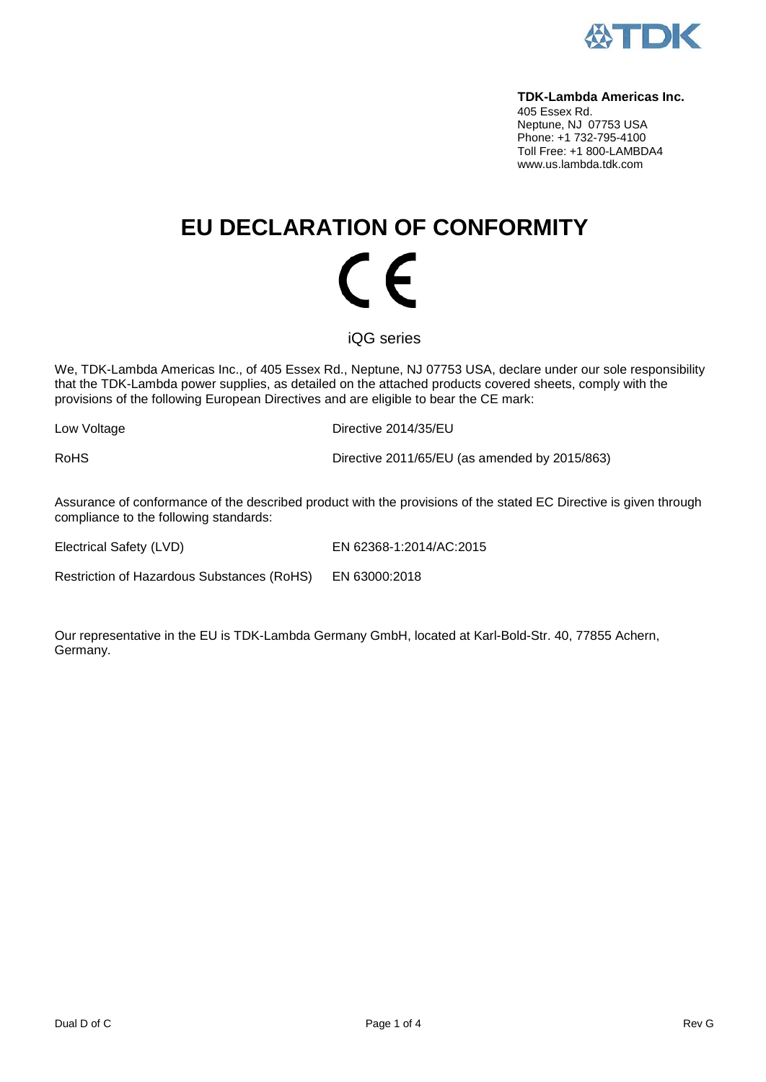

#### **TDK-Lambda Americas Inc.**

405 Essex Rd. Neptune, NJ 07753 USA Phone: +1 732-795-4100 Toll Free: +1 800-LAMBDA4 www.us.lambda.tdk.com

# **EU DECLARATION OF CONFORMITY** (  $\epsilon$

iQG series

We, TDK-Lambda Americas Inc., of 405 Essex Rd., Neptune, NJ 07753 USA, declare under our sole responsibility that the TDK-Lambda power supplies, as detailed on the attached products covered sheets, comply with the provisions of the following European Directives and are eligible to bear the CE mark:

Low Voltage **Directive 2014/35/EU** 

RoHS Directive 2011/65/EU (as amended by 2015/863)

Assurance of conformance of the described product with the provisions of the stated EC Directive is given through compliance to the following standards:

Electrical Safety (LVD) EN 62368-1:2014/AC:2015

Restriction of Hazardous Substances (RoHS) EN 63000:2018

Our representative in the EU is TDK-Lambda Germany GmbH, located at Karl-Bold-Str. 40, 77855 Achern, Germany.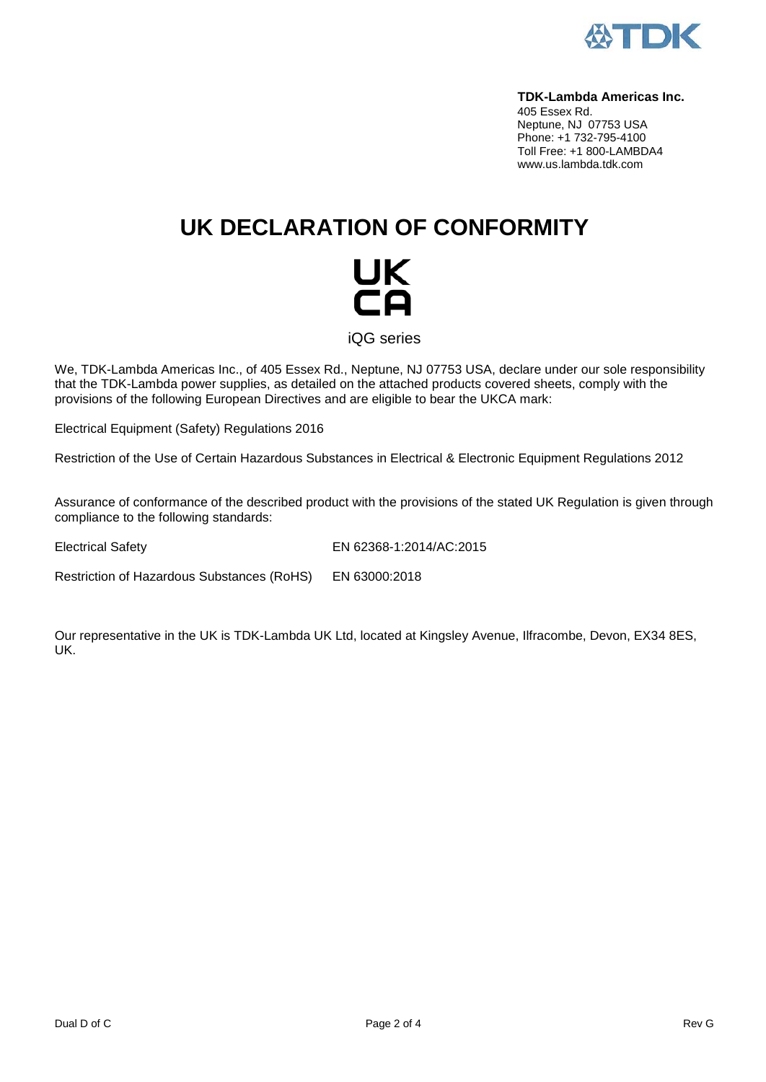

#### **TDK-Lambda Americas Inc.**

405 Essex Rd. Neptune, NJ 07753 USA Phone: +1 732-795-4100 Toll Free: +1 800-LAMBDA4 www.us.lambda.tdk.com

## **UK DECLARATION OF CONFORMITY**



iQG series

We, TDK-Lambda Americas Inc., of 405 Essex Rd., Neptune, NJ 07753 USA, declare under our sole responsibility that the TDK-Lambda power supplies, as detailed on the attached products covered sheets, comply with the provisions of the following European Directives and are eligible to bear the UKCA mark:

Electrical Equipment (Safety) Regulations 2016

Restriction of the Use of Certain Hazardous Substances in Electrical & Electronic Equipment Regulations 2012

Assurance of conformance of the described product with the provisions of the stated UK Regulation is given through compliance to the following standards:

Electrical Safety EN 62368-1:2014/AC:2015

Restriction of Hazardous Substances (RoHS) EN 63000:2018

Our representative in the UK is TDK-Lambda UK Ltd, located at Kingsley Avenue, Ilfracombe, Devon, EX34 8ES, UK.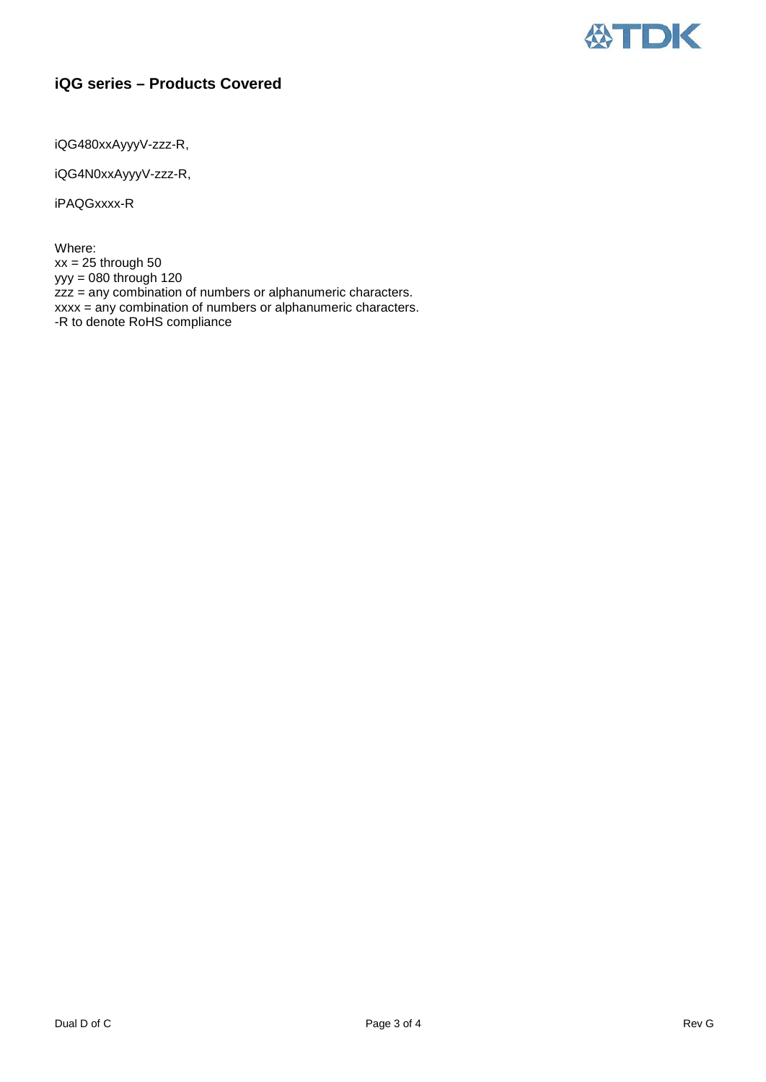

### **iQG series – Products Covered**

iQG480xxAyyyV-zzz-R,

iQG4N0xxAyyyV-zzz-R,

iPAQGxxxx-R

Where: xx = 25 through 50 yyy = 080 through 120 zzz = any combination of numbers or alphanumeric characters. xxxx = any combination of numbers or alphanumeric characters. -R to denote RoHS compliance